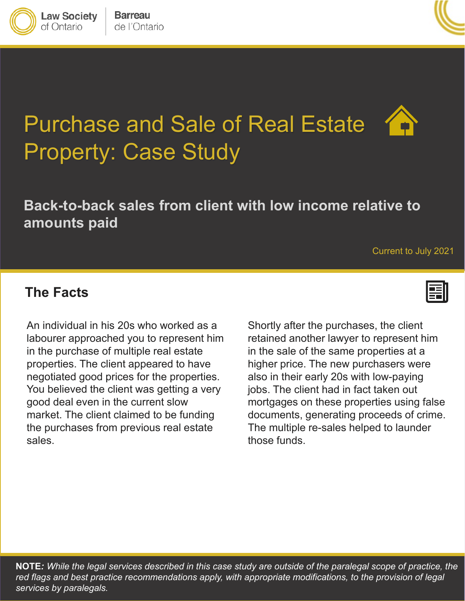

**Law Society** of Ontario



# Purchase and Sale of Real Estate Property: Case Study

# **Back-to-back sales from client with low income relative to amounts paid**

#### Current to July 2021

#### **The Facts**

You believed the client was getting a very jobs. The client had in fact taken market. The client claimed to be funding<br>the purchases from previous real estate The multiple re-sales helped to launder generation proceeds of crime. The multiple re-sales helped to launder re-sales helped to launder re-sales help An individual in his 20s who worked as a labourer approached you to represent him in the purchase of multiple real estate properties. The client appeared to have good deal even in the current slow market. The client claimed to be funding sales.

prepenses. The client appeared to have the migher price. The new parehaecte were<br>negotiated good prices for the properties. also in their early 20s with low-paying good deal even in the current slow mortgages on these properties using false Shortly after the purchases, the client retained another lawyer to represent him in the sale of the same properties at a higher price. The new purchasers were also in their early 20s with low-paying jobs. The client had in fact taken out documents, generating proceeds of crime. The multiple re-sales helped to launder those funds.

**NOTE***: While the legal services described in this case study are outside of the paralegal scope of practice, the*  red flags and best practice recommendations apply, with appropriate modifications, to the provision of legal *services by paralegals.*

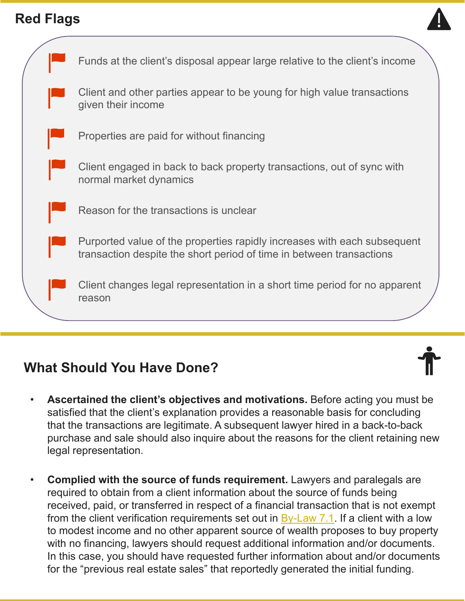### **Red Flags**



|  | Funds at the client's disposal appear large relative to the client's income                                                                      |
|--|--------------------------------------------------------------------------------------------------------------------------------------------------|
|  | Client and other parties appear to be young for high value transactions<br>given their income                                                    |
|  | Properties are paid for without financing                                                                                                        |
|  | Client engaged in back to back property transactions, out of sync with<br>normal market dynamics                                                 |
|  | Reason for the transactions is unclear                                                                                                           |
|  | Purported value of the properties rapidly increases with each subsequent<br>transaction despite the short period of time in between transactions |
|  | Client changes legal representation in a short time period for no apparent<br>reason                                                             |
|  |                                                                                                                                                  |

# **What Should You Have Done?**

- **Ascertained the client's objectives and motivations.** Before acting you must be satisfied that the client's explanation provides a reasonable basis for concluding that the transactions are legitimate. A subsequent lawyer hired in a back-to-back purchase and sale should also inquire about the reasons for the client retaining new legal representation.
- **Complied with the source of funds requirement.** Lawyers and paralegals are required to obtain from a client information about the source of funds being received, paid, or transferred in respect of a financial transaction that is not exempt from the client verification requirements set out in  $By-Law 7.1$ . If a client with a low to modest income and no other apparent source of wealth proposes to buy property with no financing, lawyers should request additional information and/or documents. In this case, you should have requested further information about and/or documents for the "previous real estate sales" that reportedly generated the initial funding.